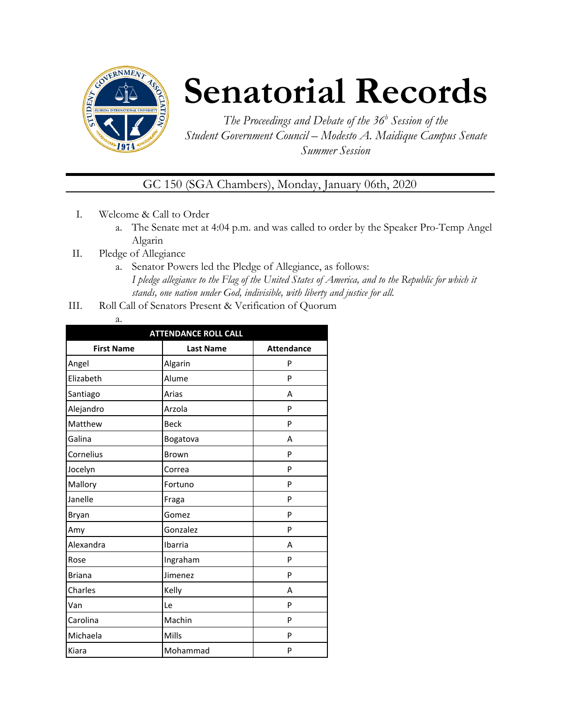

## **Senatorial Records**

*The Proceedings and Debate of the 36 <sup>h</sup> Session of the Student Government Council – Modesto A. Maidique Campus Senate Summer Session*

GC 150 (SGA Chambers), Monday, January 06th, 2020

- I. Welcome & Call to Order
	- a. The Senate met at 4:04 p.m. and was called to order by the Speaker Pro-Temp Angel Algarin
- II. Pledge of Allegiance
	- a. Senator Powers led the Pledge of Allegiance, as follows: *I pledge allegiance to the Flag of the United States of America, and to the Republic for which it stands, one nation under God, indivisible, with liberty and justice for all.*
- III. Roll Call of Senators Present & Verification of Quorum
	- a.

| <b>ATTENDANCE ROLL CALL</b> |                  |                   |  |
|-----------------------------|------------------|-------------------|--|
| <b>First Name</b>           | <b>Last Name</b> | <b>Attendance</b> |  |
| Angel                       | Algarin          | P                 |  |
| Elizabeth                   | Alume            | P                 |  |
| Santiago                    | Arias            | A                 |  |
| Alejandro                   | Arzola           | P                 |  |
| Matthew                     | <b>Beck</b>      | P                 |  |
| Galina                      | Bogatova         | A                 |  |
| Cornelius                   | Brown            | P                 |  |
| Jocelyn                     | Correa           | P                 |  |
| Mallory                     | Fortuno          | P                 |  |
| Janelle                     | Fraga            | P                 |  |
| Bryan                       | Gomez            | P                 |  |
| Amy                         | Gonzalez         | P                 |  |
| Alexandra                   | Ibarria          | А                 |  |
| Rose                        | Ingraham         | P                 |  |
| <b>Briana</b>               | Jimenez          | P                 |  |
| Charles                     | Kelly            | A                 |  |
| Van                         | Le               | P                 |  |
| Carolina                    | Machin           | P                 |  |
| Michaela                    | Mills            | P                 |  |
| Kiara                       | Mohammad         | P                 |  |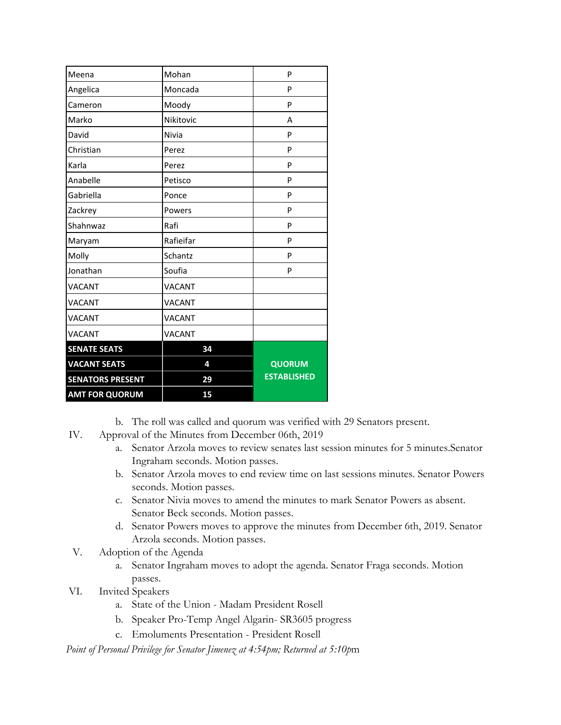| Meena                   | Mohan         | P                  |  |
|-------------------------|---------------|--------------------|--|
| Angelica                | Moncada       | P                  |  |
| Cameron                 | Moody         | P                  |  |
| Marko                   | Nikitovic     | A                  |  |
| David                   | Nivia         | P                  |  |
| Christian               | Perez         | P                  |  |
| Karla                   | Perez         | P                  |  |
| Anabelle                | Petisco       | P                  |  |
| Gabriella               | Ponce         | P                  |  |
| Zackrey                 | Powers        | P                  |  |
| Shahnwaz                | Rafi          | P                  |  |
| Maryam                  | Rafieifar     | P                  |  |
| Molly                   | Schantz       | P                  |  |
| Jonathan                | Soufia        | P                  |  |
| <b>VACANT</b>           | <b>VACANT</b> |                    |  |
| <b>VACANT</b>           | <b>VACANT</b> |                    |  |
| <b>VACANT</b>           | <b>VACANT</b> |                    |  |
| <b>VACANT</b>           | <b>VACANT</b> |                    |  |
| <b>SENATE SEATS</b>     | 34            |                    |  |
| <b>VACANT SEATS</b>     | 4             | <b>QUORUM</b>      |  |
| <b>SENATORS PRESENT</b> | 29            | <b>ESTABLISHED</b> |  |
| <b>AMT FOR QUORUM</b>   | 15            |                    |  |

- b. The roll was called and quorum was verified with 29 Senators present.
- IV. Approval of the Minutes from December 06th, 2019
	- a. Senator Arzola moves to review senates last session minutes for 5 minutes.Senator Ingraham seconds. Motion passes.
	- b. Senator Arzola moves to end review time on last sessions minutes. Senator Powers seconds. Motion passes.
	- c. Senator Nivia moves to amend the minutes to mark Senator Powers as absent. Senator Beck seconds. Motion passes.
	- d. Senator Powers moves to approve the minutes from December 6th, 2019. Senator Arzola seconds. Motion passes.
- V. Adoption of the Agenda
	- a. Senator Ingraham moves to adopt the agenda. Senator Fraga seconds. Motion passes.
- VI. Invited Speakers
	- a. State of the Union Madam President Rosell
	- b. Speaker Pro-Temp Angel Algarin- SR3605 progress
	- c. Emoluments Presentation President Rosell

*Point of Personal Privilege for Senator Jimenez at 4:54pm; Returned at 5:10p*m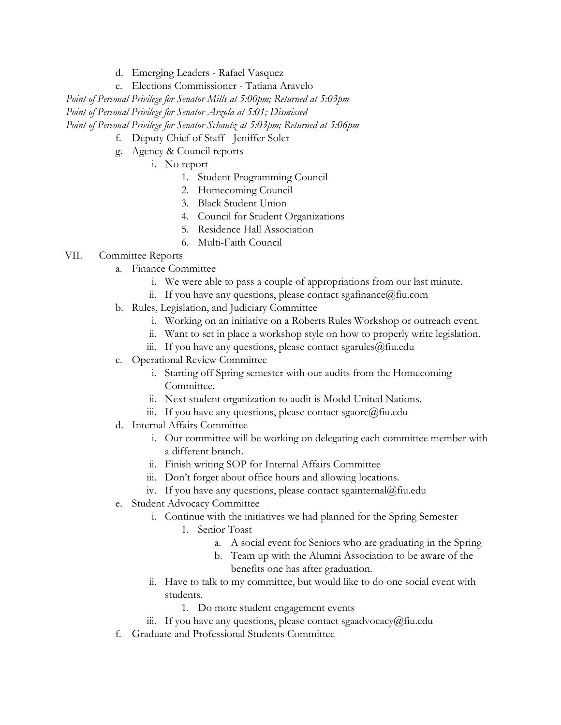- d. Emerging Leaders Rafael Vasquez
- e. Elections Commissioner Tatiana Aravelo

*Point of Personal Privilege for Senator Mills at 5:00pm; Returned at 5:03pm Point of Personal Privilege for Senator Arzola at 5:01; Dismissed Point of Personal Privilege for Senator Schantz at 5:03pm; Returned at 5:06pm*

- f. Deputy Chief of Staff Jeniffer Soler
- g. Agency & Council reports
	- i. No report
		- 1. Student Programming Council
		- 2. Homecoming Council
		- 3. Black Student Union
		- 4. Council for Student Organizations
		- 5. Residence Hall Association
		- 6. Multi-Faith Council

## VII. Committee Reports

- a. Finance Committee
	- i. We were able to pass a couple of appropriations from our last minute.
	- ii. If you have any questions, please contact sgafinance  $@$  fiu.com
- b. Rules, Legislation, and Judiciary Committee
	- i. Working on an initiative on a Roberts Rules Workshop or outreach event.
	- ii. Want to set in place a workshop style on how to properly write legislation.
	- iii. If you have any questions, please contact sgarules $@$ fiu.edu
- c. Operational Review Committee
	- i. Starting off Spring semester with our audits from the Homecoming Committee.
	- ii. Next student organization to audit is Model United Nations.
	- iii. If you have any questions, please contact sgaorc@fiu.edu
- d. Internal Affairs Committee
	- i. Our committee will be working on delegating each committee member with a different branch.
	- ii. Finish writing SOP for Internal Affairs Committee
	- iii. Don't forget about office hours and allowing locations.
	- iv. If you have any questions, please contact sgainternal@fiu.edu
- e. Student Advocacy Committee
	- i. Continue with the initiatives we had planned for the Spring Semester
		- 1. Senior Toast
			- a. A social event for Seniors who are graduating in the Spring
			- b. Team up with the Alumni Association to be aware of the benefits one has after graduation.
	- ii. Have to talk to my committee, but would like to do one social event with students.
		- 1. Do more student engagement events
	- iii. If you have any questions, please contact sgaadvocacy@fiu.edu
- f. Graduate and Professional Students Committee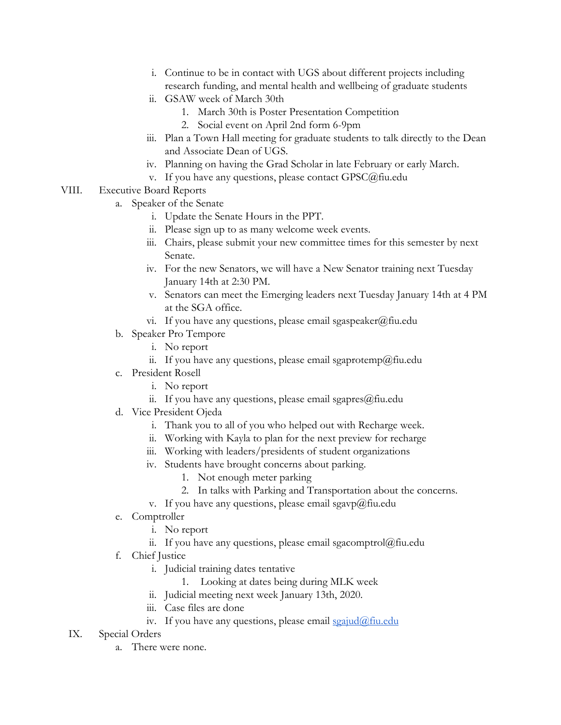- i. Continue to be in contact with UGS about different projects including research funding, and mental health and wellbeing of graduate students
- ii. GSAW week of March 30th
	- 1. March 30th is Poster Presentation Competition
	- 2. Social event on April 2nd form 6-9pm
- iii. Plan a Town Hall meeting for graduate students to talk directly to the Dean and Associate Dean of UGS.
- iv. Planning on having the Grad Scholar in late February or early March.
- v. If you have any questions, please contact GPSC@fiu.edu
- VIII. Executive Board Reports
	- a. Speaker of the Senate
		- i. Update the Senate Hours in the PPT.
		- ii. Please sign up to as many welcome week events.
		- iii. Chairs, please submit your new committee times for this semester by next Senate.
		- iv. For the new Senators, we will have a New Senator training next Tuesday January 14th at 2:30 PM.
		- v. Senators can meet the Emerging leaders next Tuesday January 14th at 4 PM at the SGA office.
		- vi. If you have any questions, please email sgaspeaker@fiu.edu
	- b. Speaker Pro Tempore
		- i. No report
		- ii. If you have any questions, please email sgaprotemp@fiu.edu
	- c. President Rosell
		- i. No report
		- ii. If you have any questions, please email sgapres $@$ fiu.edu
	- d. Vice President Ojeda
		- i. Thank you to all of you who helped out with Recharge week.
		- ii. Working with Kayla to plan for the next preview for recharge
		- iii. Working with leaders/presidents of student organizations
		- iv. Students have brought concerns about parking.
			- 1. Not enough meter parking
			- 2. In talks with Parking and Transportation about the concerns.
		- v. If you have any questions, please email sgavp@fiu.edu
	- e. Comptroller
		- i. No report
		- ii. If you have any questions, please email sgacomptrol $@$ fiu.edu
	- f. Chief Justice
		- i. Judicial training dates tentative
			- 1. Looking at dates being during MLK week
		- ii. Judicial meeting next week January 13th, 2020.
		- iii. Case files are done
		- iv. If you have any questions, please email  $\frac{\sigma}{\sigma}$   $\frac{\sigma}{\sigma}$   $\frac{\sigma}{\sigma}$
	- IX. Special Orders
		- a. There were none.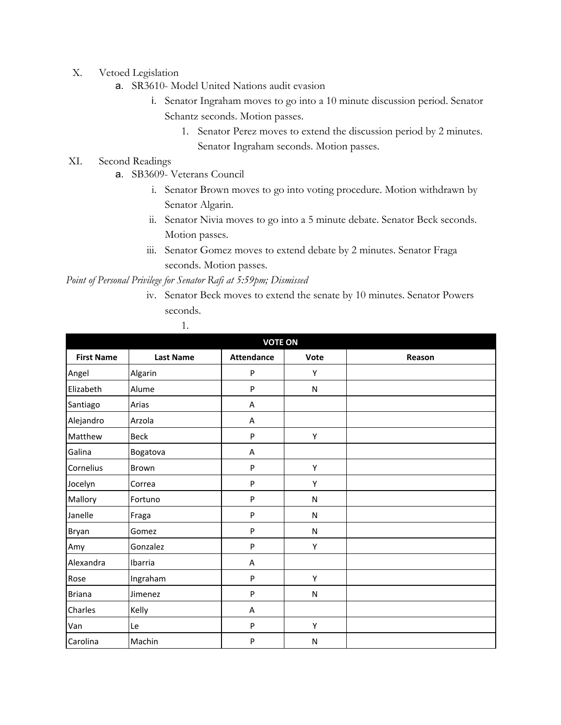- X. Vetoed Legislation
	- a. SR3610- Model United Nations audit evasion
		- i. Senator Ingraham moves to go into a 10 minute discussion period. Senator Schantz seconds. Motion passes.
			- 1. Senator Perez moves to extend the discussion period by 2 minutes. Senator Ingraham seconds. Motion passes.

## XI. Second Readings

- a. SB3609- Veterans Council
	- i. Senator Brown moves to go into voting procedure. Motion withdrawn by Senator Algarin.
	- ii. Senator Nivia moves to go into a 5 minute debate. Senator Beck seconds. Motion passes.
	- iii. Senator Gomez moves to extend debate by 2 minutes. Senator Fraga seconds. Motion passes.

*Point of Personal Privilege for Senator Rafi at 5:59pm; Dismissed*

iv. Senator Beck moves to extend the senate by 10 minutes. Senator Powers seconds.

| <b>VOTE ON</b>    |                  |                   |           |        |
|-------------------|------------------|-------------------|-----------|--------|
| <b>First Name</b> | <b>Last Name</b> | <b>Attendance</b> | Vote      | Reason |
| Angel             | Algarin          | P                 | Υ         |        |
| Elizabeth         | Alume            | $\sf P$           | ${\sf N}$ |        |
| Santiago          | Arias            | A                 |           |        |
| Alejandro         | Arzola           | Α                 |           |        |
| Matthew           | <b>Beck</b>      | $\sf P$           | Υ         |        |
| Galina            | Bogatova         | Α                 |           |        |
| Cornelius         | Brown            | $\mathsf{P}$      | Υ         |        |
| Jocelyn           | Correa           | $\sf P$           | Υ         |        |
| Mallory           | Fortuno          | ${\sf P}$         | N         |        |
| Janelle           | Fraga            | P                 | ${\sf N}$ |        |
| Bryan             | Gomez            | $\sf P$           | ${\sf N}$ |        |
| Amy               | Gonzalez         | $\mathsf{P}$      | Y         |        |
| Alexandra         | Ibarria          | Α                 |           |        |
| Rose              | Ingraham         | ${\sf P}$         | Υ         |        |
| <b>Briana</b>     | Jimenez          | ${\sf P}$         | N         |        |
| Charles           | Kelly            | A                 |           |        |
| Van               | Le               | $\sf P$           | Υ         |        |
| Carolina          | Machin           | P                 | N         |        |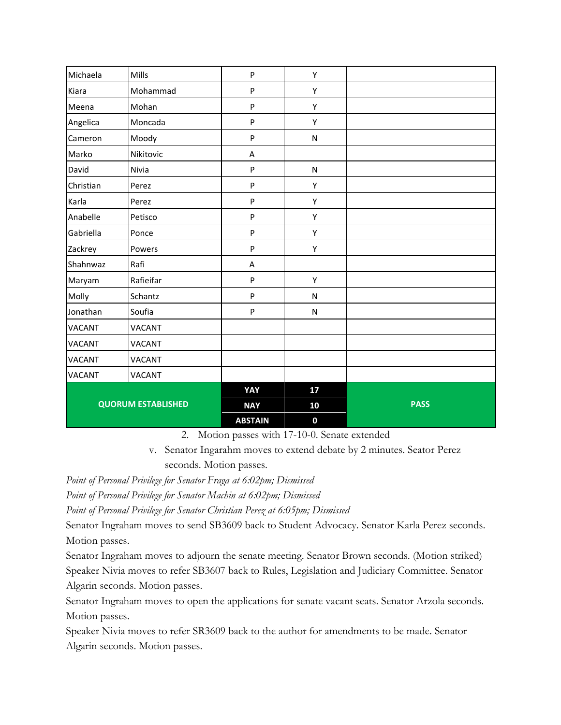| Michaela                  | Mills         | P              | Υ           |             |
|---------------------------|---------------|----------------|-------------|-------------|
| Kiara                     | Mohammad      | ${\sf P}$      | Υ           |             |
| Meena                     | Mohan         | ${\sf P}$      | Υ           |             |
| Angelica                  | Moncada       | P              | Υ           |             |
| Cameron                   | Moody         | P              | ${\sf N}$   |             |
| Marko                     | Nikitovic     | A              |             |             |
| David                     | Nivia         | ${\sf P}$      | ${\sf N}$   |             |
| Christian                 | Perez         | ${\sf P}$      | Υ           |             |
| Karla                     | Perez         | P              | Υ           |             |
| Anabelle                  | Petisco       | ${\sf P}$      | Υ           |             |
| Gabriella                 | Ponce         | ${\sf P}$      | Υ           |             |
| Zackrey                   | Powers        | ${\sf P}$      | Υ           |             |
| Shahnwaz                  | Rafi          | A              |             |             |
| Maryam                    | Rafieifar     | P              | Υ           |             |
| Molly                     | Schantz       | $\mathsf{P}$   | N           |             |
| Jonathan                  | Soufia        | $\mathsf{P}$   | ${\sf N}$   |             |
| <b>VACANT</b>             | <b>VACANT</b> |                |             |             |
| <b>VACANT</b>             | <b>VACANT</b> |                |             |             |
| <b>VACANT</b>             | <b>VACANT</b> |                |             |             |
| <b>VACANT</b>             | <b>VACANT</b> |                |             |             |
|                           |               | YAY            | 17          |             |
| <b>QUORUM ESTABLISHED</b> |               | <b>NAY</b>     | 10          | <b>PASS</b> |
|                           |               | <b>ABSTAIN</b> | $\mathbf 0$ |             |

2. Motion passes with 17-10-0. Senate extended

v. Senator Ingarahm moves to extend debate by 2 minutes. Seator Perez seconds. Motion passes.

*Point of Personal Privilege for Senator Fraga at 6:02pm; Dismissed*

*Point of Personal Privilege for Senator Machin at 6:02pm; Dismissed*

*Point of Personal Privilege for Senator Christian Perez at 6:05pm; Dismissed*

Senator Ingraham moves to send SB3609 back to Student Advocacy. Senator Karla Perez seconds. Motion passes.

Senator Ingraham moves to adjourn the senate meeting. Senator Brown seconds. (Motion striked) Speaker Nivia moves to refer SB3607 back to Rules, Legislation and Judiciary Committee. Senator Algarin seconds. Motion passes.

Senator Ingraham moves to open the applications for senate vacant seats. Senator Arzola seconds. Motion passes.

Speaker Nivia moves to refer SR3609 back to the author for amendments to be made. Senator Algarin seconds. Motion passes.